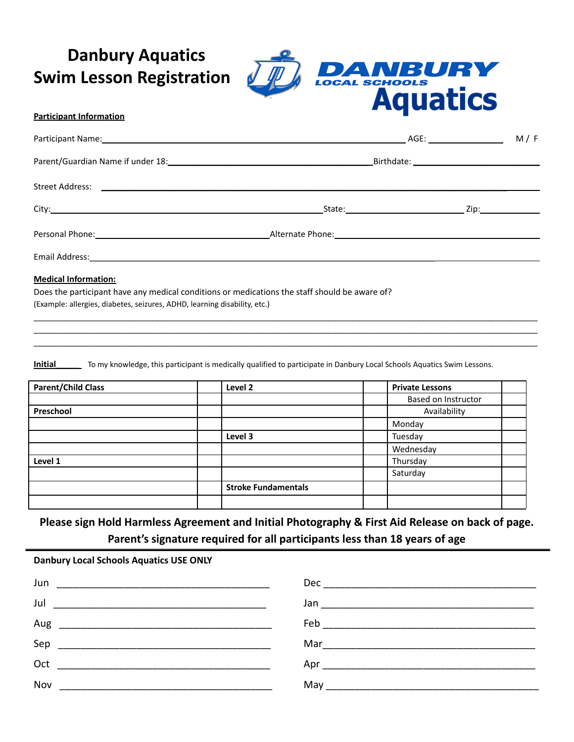**Danbury Aquatics Swim Lesson Registration**



## **Participant Information**

| <b>Medical Information:</b> |  |  |
|-----------------------------|--|--|

\_\_\_\_\_\_\_\_\_\_\_\_\_\_\_\_\_\_\_\_\_\_\_\_\_\_\_\_\_\_\_\_\_\_\_\_\_\_\_\_\_\_\_\_\_\_\_\_\_\_\_\_\_\_\_\_\_\_\_\_\_\_\_\_\_\_\_\_\_\_\_\_\_\_\_\_\_\_\_\_\_\_\_\_\_\_\_\_\_\_\_\_\_\_\_\_\_\_\_\_\_\_\_\_\_\_\_\_ \_\_\_\_\_\_\_\_\_\_\_\_\_\_\_\_\_\_\_\_\_\_\_\_\_\_\_\_\_\_\_\_\_\_\_\_\_\_\_\_\_\_\_\_\_\_\_\_\_\_\_\_\_\_\_\_\_\_\_\_\_\_\_\_\_\_\_\_\_\_\_\_\_\_\_\_\_\_\_\_\_\_\_\_\_\_\_\_\_\_\_\_\_\_\_\_\_\_\_\_\_\_\_\_\_\_\_\_ \_\_\_\_\_\_\_\_\_\_\_\_\_\_\_\_\_\_\_\_\_\_\_\_\_\_\_\_\_\_\_\_\_\_\_\_\_\_\_\_\_\_\_\_\_\_\_\_\_\_\_\_\_\_\_\_\_\_\_\_\_\_\_\_\_\_\_\_\_\_\_\_\_\_\_\_\_\_\_\_\_\_\_\_\_\_\_\_\_\_\_\_\_\_\_\_\_\_\_\_\_\_\_\_\_\_\_\_

Does the participant have any medical conditions or medications the staff should be aware of? (Example: allergies, diabetes, seizures, ADHD, learning disability, etc.)

**Initial** To my knowledge, this participant is medically qualified to participate in Danbury Local Schools Aquatics Swim Lessons.

| <b>Parent/Child Class</b> | Level 2                    | <b>Private Lessons</b>     |
|---------------------------|----------------------------|----------------------------|
|                           |                            | <b>Based on Instructor</b> |
| Preschool                 |                            | Availability               |
|                           |                            | Monday                     |
|                           | Level 3                    | Tuesday                    |
|                           |                            | Wednesday                  |
| Level 1                   |                            | Thursday                   |
|                           |                            | Saturday                   |
|                           | <b>Stroke Fundamentals</b> |                            |
|                           |                            |                            |

**Please sign Hold Harmless Agreement and Initial Photography & First Aid Release on back of page. Parent's signature required for all participants less than 18 years of age**

| <b>Danbury Local Schools Aquatics USE ONLY</b> |  |  |
|------------------------------------------------|--|--|
|------------------------------------------------|--|--|

| Jun |                                                                                                                |
|-----|----------------------------------------------------------------------------------------------------------------|
|     |                                                                                                                |
|     |                                                                                                                |
|     |                                                                                                                |
|     | Apr and the state of the state of the state of the state of the state of the state of the state of the state o |
| Nov |                                                                                                                |